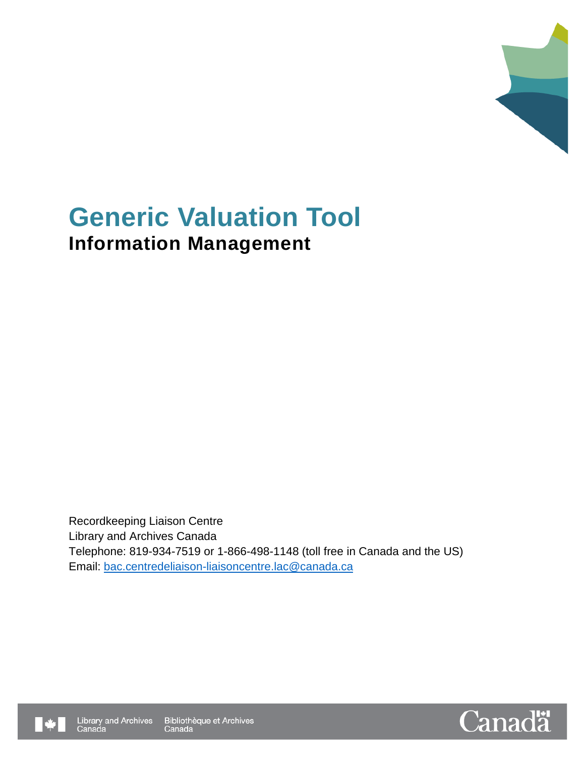

# **Generic Valuation Tool Information Management**

Recordkeeping Liaison Centre Library and Archives Canada Telephone: 819-934-7519 or 1-866-498-1148 (toll free in Canada and the US) Email: [bac.centredeliaison-liaisoncentre.lac@canada.ca](mailto:bac.centredeliaison-liaisoncentre.lac@canada.ca)



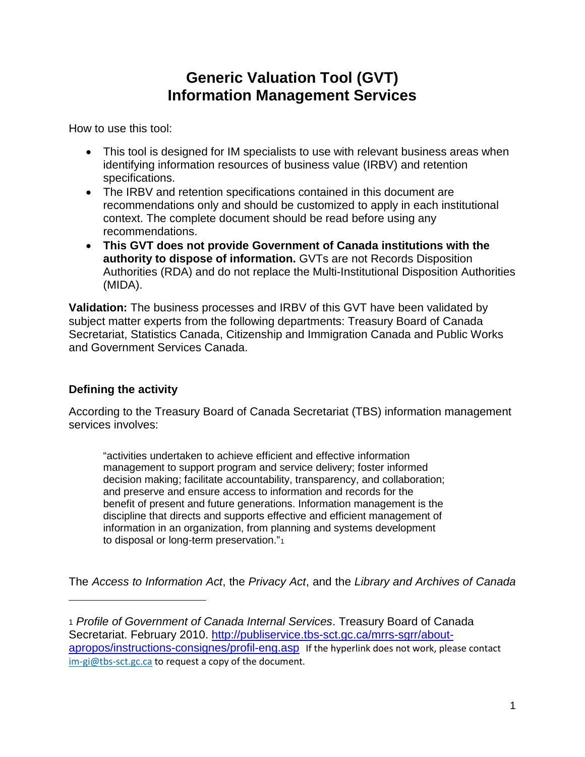### **Generic Valuation Tool (GVT) Information Management Services**

How to use this tool:

- This tool is designed for IM specialists to use with relevant business areas when identifying information resources of business value (IRBV) and retention specifications.
- The IRBV and retention specifications contained in this document are recommendations only and should be customized to apply in each institutional context. The complete document should be read before using any recommendations.
- **This GVT does not provide Government of Canada institutions with the authority to dispose of information.** GVTs are not Records Disposition Authorities (RDA) and do not replace the Multi-Institutional Disposition Authorities (MIDA).

**Validation:** The business processes and IRBV of this GVT have been validated by subject matter experts from the following departments: Treasury Board of Canada Secretariat, Statistics Canada, Citizenship and Immigration Canada and Public Works and Government Services Canada.

### **Defining the activity**

i<br>I

According to the Treasury Board of Canada Secretariat (TBS) information management services involves:

"activities undertaken to achieve efficient and effective information management to support program and service delivery; foster informed decision making; facilitate accountability, transparency, and collaboration; and preserve and ensure access to information and records for the benefit of present and future generations. Information management is the discipline that directs and supports effective and efficient management of information in an organization, from planning and systems development to disposal or long-term preservation."<sup>[1](#page-1-0)</sup>

The *Access to Information Act*, the *Privacy Act*, and the *Library and Archives of Canada* 

<span id="page-1-0"></span><sup>1</sup> *Profile of Government of Canada Internal Services*. Treasury Board of Canada Secretariat. February 2010. [http://publiservice.tbs-sct.gc.ca/mrrs-sgrr/about](http://publiservice.tbs-sct.gc.ca/mrrs-sgrr/about-apropos/instructions-consignes/profil-eng.asp)[apropos/instructions-consignes/profil-eng.asp](http://publiservice.tbs-sct.gc.ca/mrrs-sgrr/about-apropos/instructions-consignes/profil-eng.asp) If the hyperlink does not work, please contact [im-gi@tbs-sct.gc.ca](mailto:im-gi@tbs-sct.gc.ca) to request a copy of the document.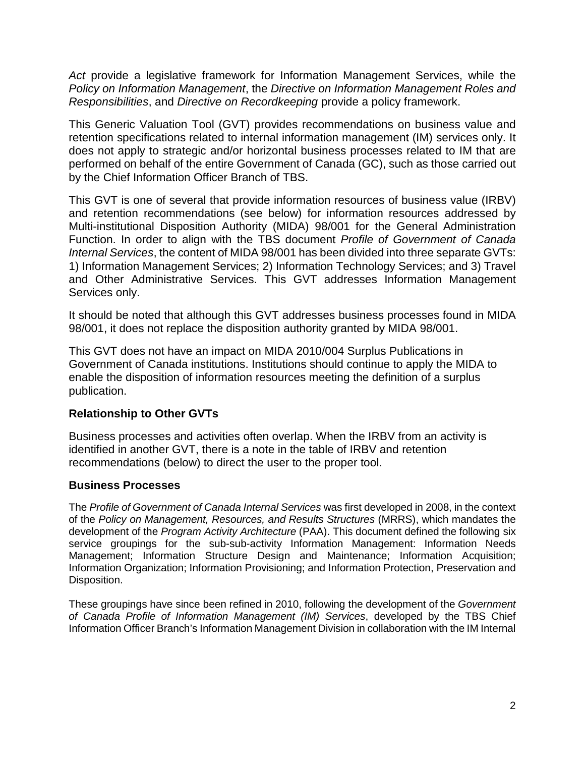*Act* provide a legislative framework for Information Management Services, while the *Policy on Information Management*, the *Directive on Information Management Roles and Responsibilities*, and *Directive on Recordkeeping* provide a policy framework.

This Generic Valuation Tool (GVT) provides recommendations on business value and retention specifications related to internal information management (IM) services only. It does not apply to strategic and/or horizontal business processes related to IM that are performed on behalf of the entire Government of Canada (GC), such as those carried out by the Chief Information Officer Branch of TBS.

This GVT is one of several that provide information resources of business value (IRBV) and retention recommendations (see below) for information resources addressed by Multi-institutional Disposition Authority (MIDA) 98/001 for the General Administration Function. In order to align with the TBS document *Profile of Government of Canada Internal Services*, the content of MIDA 98/001 has been divided into three separate GVTs: 1) Information Management Services; 2) Information Technology Services; and 3) Travel and Other Administrative Services. This GVT addresses Information Management Services only.

It should be noted that although this GVT addresses business processes found in MIDA 98/001, it does not replace the disposition authority granted by MIDA 98/001.

This GVT does not have an impact on MIDA 2010/004 Surplus Publications in Government of Canada institutions. Institutions should continue to apply the MIDA to enable the disposition of information resources meeting the definition of a surplus publication.

#### **Relationship to Other GVTs**

Business processes and activities often overlap. When the IRBV from an activity is identified in another GVT, there is a note in the table of IRBV and retention recommendations (below) to direct the user to the proper tool.

#### **Business Processes**

The *Profile of Government of Canada Internal Services* was first developed in 2008, in the context of the *Policy on Management, Resources, and Results Structures* (MRRS), which mandates the development of the *Program Activity Architecture* (PAA). This document defined the following six service groupings for the sub-sub-activity Information Management: Information Needs Management; Information Structure Design and Maintenance; Information Acquisition; Information Organization; Information Provisioning; and Information Protection, Preservation and Disposition.

These groupings have since been refined in 2010, following the development of the *Government of Canada Profile of Information Management (IM) Services*, developed by the TBS Chief Information Officer Branch's Information Management Division in collaboration with the IM Internal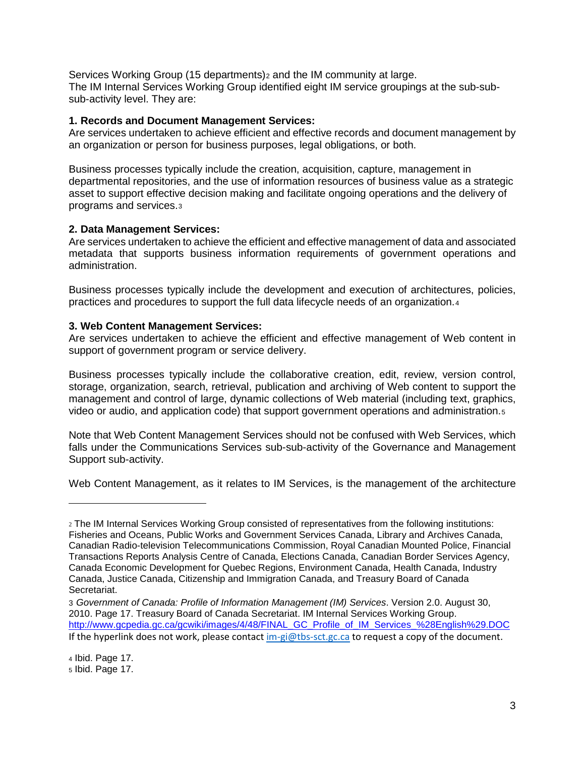Services Working Group (15 departments)<sub>[2](#page-3-0)</sub> and the IM community at large. The IM Internal Services Working Group identified eight IM service groupings at the sub-subsub-activity level. They are:

#### **1. Records and Document Management Services:**

Are services undertaken to achieve efficient and effective records and document management by an organization or person for business purposes, legal obligations, or both.

Business processes typically include the creation, acquisition, capture, management in departmental repositories, and the use of information resources of business value as a strategic asset to support effective decision making and facilitate ongoing operations and the delivery of programs and services.[3](#page-3-1)

#### **2. Data Management Services:**

Are services undertaken to achieve the efficient and effective management of data and associated metadata that supports business information requirements of government operations and administration.

Business processes typically include the development and execution of architectures, policies, practices and procedures to support the full data lifecycle needs of an organization.[4](#page-3-2) 

#### **3. Web Content Management Services:**

Are services undertaken to achieve the efficient and effective management of Web content in support of government program or service delivery.

Business processes typically include the collaborative creation, edit, review, version control, storage, organization, search, retrieval, publication and archiving of Web content to support the management and control of large, dynamic collections of Web material (including text, graphics, video or audio, and application code) that support government operations and administration.[5](#page-3-3) 

Note that Web Content Management Services should not be confused with Web Services, which falls under the Communications Services sub-sub-activity of the Governance and Management Support sub-activity.

Web Content Management, as it relates to IM Services, is the management of the architecture

i<br>I

<span id="page-3-0"></span><sup>2</sup> The IM Internal Services Working Group consisted of representatives from the following institutions: Fisheries and Oceans, Public Works and Government Services Canada, Library and Archives Canada, Canadian Radio-television Telecommunications Commission, Royal Canadian Mounted Police, Financial Transactions Reports Analysis Centre of Canada, Elections Canada, Canadian Border Services Agency, Canada Economic Development for Quebec Regions, Environment Canada, Health Canada, Industry Canada, Justice Canada, Citizenship and Immigration Canada, and Treasury Board of Canada Secretariat.

<span id="page-3-3"></span><span id="page-3-2"></span><span id="page-3-1"></span><sup>3</sup> *Government of Canada: Profile of Information Management (IM) Services*. Version 2.0. August 30, 2010. Page 17. Treasury Board of Canada Secretariat. IM Internal Services Working Group. [http://www.gcpedia.gc.ca/gcwiki/images/4/48/FINAL\\_GC\\_Profile\\_of\\_IM\\_Services\\_%28English%29.DOC](http://www.gcpedia.gc.ca/gcwiki/images/4/48/FINAL_GC_Profile_of_IM_Services_%28English%29.DOC) If the hyperlink does not work, please contact [im-gi@tbs-sct.gc.ca](mailto:im-gi@tbs-sct.gc.ca) to request a copy of the document.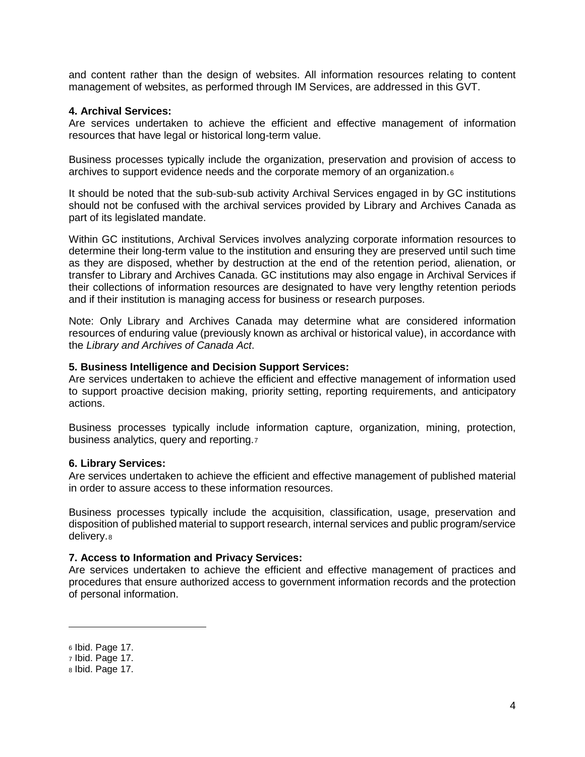and content rather than the design of websites. All information resources relating to content management of websites, as performed through IM Services, are addressed in this GVT.

#### **4. Archival Services:**

Are services undertaken to achieve the efficient and effective management of information resources that have legal or historical long-term value.

Business processes typically include the organization, preservation and provision of access to archives to support evidence needs and the corporate memory of an organization.[6](#page-4-0)

It should be noted that the sub-sub-sub activity Archival Services engaged in by GC institutions should not be confused with the archival services provided by Library and Archives Canada as part of its legislated mandate.

Within GC institutions, Archival Services involves analyzing corporate information resources to determine their long-term value to the institution and ensuring they are preserved until such time as they are disposed, whether by destruction at the end of the retention period, alienation, or transfer to Library and Archives Canada. GC institutions may also engage in Archival Services if their collections of information resources are designated to have very lengthy retention periods and if their institution is managing access for business or research purposes.

Note: Only Library and Archives Canada may determine what are considered information resources of enduring value (previously known as archival or historical value), in accordance with the *Library and Archives of Canada Act*.

#### **5. Business Intelligence and Decision Support Services:**

Are services undertaken to achieve the efficient and effective management of information used to support proactive decision making, priority setting, reporting requirements, and anticipatory actions.

Business processes typically include information capture, organization, mining, protection, business analytics, query and reporting.[7](#page-4-1)

#### **6. Library Services:**

Are services undertaken to achieve the efficient and effective management of published material in order to assure access to these information resources.

Business processes typically include the acquisition, classification, usage, preservation and disposition of published material to support research, internal services and public program/service delivery.[8](#page-4-2)

#### **7. Access to Information and Privacy Services:**

Are services undertaken to achieve the efficient and effective management of practices and procedures that ensure authorized access to government information records and the protection of personal information.

I

<span id="page-4-0"></span><sup>6</sup> Ibid. Page 17.

<span id="page-4-1"></span><sup>7</sup> Ibid. Page 17.

<span id="page-4-2"></span><sup>8</sup> Ibid. Page 17.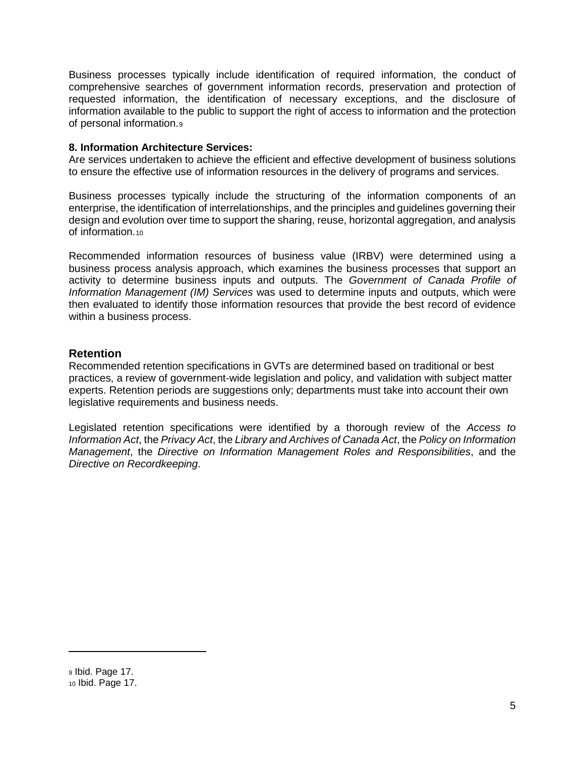Business processes typically include identification of required information, the conduct of comprehensive searches of government information records, preservation and protection of requested information, the identification of necessary exceptions, and the disclosure of information available to the public to support the right of access to information and the protection of personal information[.9](#page-5-0)

#### **8. Information Architecture Services:**

Are services undertaken to achieve the efficient and effective development of business solutions to ensure the effective use of information resources in the delivery of programs and services.

Business processes typically include the structuring of the information components of an enterprise, the identification of interrelationships, and the principles and guidelines governing their design and evolution over time to support the sharing, reuse, horizontal aggregation, and analysis of information.[10](#page-5-1)

Recommended information resources of business value (IRBV) were determined using a business process analysis approach, which examines the business processes that support an activity to determine business inputs and outputs. The *Government of Canada Profile of Information Management (IM) Services* was used to determine inputs and outputs, which were then evaluated to identify those information resources that provide the best record of evidence within a business process.

#### **Retention**

Recommended retention specifications in GVTs are determined based on traditional or best practices, a review of government-wide legislation and policy, and validation with subject matter experts. Retention periods are suggestions only; departments must take into account their own legislative requirements and business needs.

Legislated retention specifications were identified by a thorough review of the *Access to Information Act*, the *Privacy Act*, the *Library and Archives of Canada Act*, the *Policy on Information Management*, the *Directive on Information Management Roles and Responsibilities*, and the *Directive on Recordkeeping*.

i<br>I

<span id="page-5-1"></span><span id="page-5-0"></span><sup>9</sup> Ibid. Page 17. <sup>10</sup> Ibid. Page 17.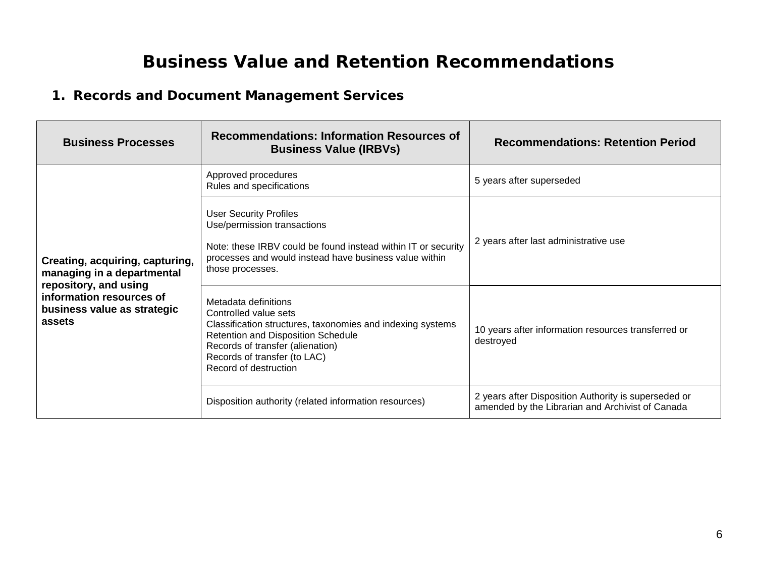# **Business Value and Retention Recommendations**

### **1. Records and Document Management Services**

| <b>Business Processes</b>                                                                                                                                   | <b>Recommendations: Information Resources of</b><br><b>Business Value (IRBVs)</b>                                                                                                                                                              | <b>Recommendations: Retention Period</b>                                                                 |
|-------------------------------------------------------------------------------------------------------------------------------------------------------------|------------------------------------------------------------------------------------------------------------------------------------------------------------------------------------------------------------------------------------------------|----------------------------------------------------------------------------------------------------------|
| Creating, acquiring, capturing,<br>managing in a departmental<br>repository, and using<br>information resources of<br>business value as strategic<br>assets | Approved procedures<br>Rules and specifications                                                                                                                                                                                                | 5 years after superseded                                                                                 |
|                                                                                                                                                             | <b>User Security Profiles</b><br>Use/permission transactions<br>Note: these IRBV could be found instead within IT or security<br>processes and would instead have business value within<br>those processes.                                    | 2 years after last administrative use                                                                    |
|                                                                                                                                                             | Metadata definitions<br>Controlled value sets<br>Classification structures, taxonomies and indexing systems<br>Retention and Disposition Schedule<br>Records of transfer (alienation)<br>Records of transfer (to LAC)<br>Record of destruction | 10 years after information resources transferred or<br>destroyed                                         |
|                                                                                                                                                             | Disposition authority (related information resources)                                                                                                                                                                                          | 2 years after Disposition Authority is superseded or<br>amended by the Librarian and Archivist of Canada |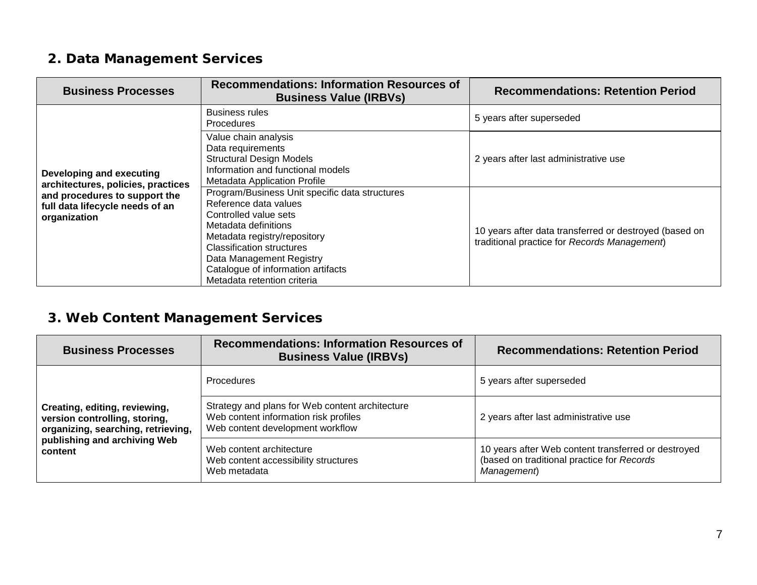### **2. Data Management Services**

| <b>Business Processes</b>                                                                                                                          | <b>Recommendations: Information Resources of</b><br><b>Business Value (IRBVs)</b>                                                                                                                                                                                                      | <b>Recommendations: Retention Period</b>                                                               |
|----------------------------------------------------------------------------------------------------------------------------------------------------|----------------------------------------------------------------------------------------------------------------------------------------------------------------------------------------------------------------------------------------------------------------------------------------|--------------------------------------------------------------------------------------------------------|
| Developing and executing<br>architectures, policies, practices<br>and procedures to support the<br>full data lifecycle needs of an<br>organization | <b>Business rules</b><br><b>Procedures</b>                                                                                                                                                                                                                                             | 5 years after superseded                                                                               |
|                                                                                                                                                    | Value chain analysis<br>Data requirements<br><b>Structural Design Models</b><br>Information and functional models<br><b>Metadata Application Profile</b>                                                                                                                               | 2 years after last administrative use                                                                  |
|                                                                                                                                                    | Program/Business Unit specific data structures<br>Reference data values<br>Controlled value sets<br>Metadata definitions<br>Metadata registry/repository<br>Classification structures<br>Data Management Registry<br>Catalogue of information artifacts<br>Metadata retention criteria | 10 years after data transferred or destroyed (based on<br>traditional practice for Records Management) |

# **3. Web Content Management Services**

| <b>Business Processes</b>                                                                                                                       | <b>Recommendations: Information Resources of</b><br><b>Business Value (IRBVs)</b>                                            | <b>Recommendations: Retention Period</b>                                                                         |
|-------------------------------------------------------------------------------------------------------------------------------------------------|------------------------------------------------------------------------------------------------------------------------------|------------------------------------------------------------------------------------------------------------------|
| Creating, editing, reviewing,<br>version controlling, storing,<br>organizing, searching, retrieving,<br>publishing and archiving Web<br>content | Procedures                                                                                                                   | 5 years after superseded                                                                                         |
|                                                                                                                                                 | Strategy and plans for Web content architecture<br>Web content information risk profiles<br>Web content development workflow | 2 years after last administrative use                                                                            |
|                                                                                                                                                 | Web content architecture<br>Web content accessibility structures<br>Web metadata                                             | 10 years after Web content transferred or destroyed<br>(based on traditional practice for Records<br>Management) |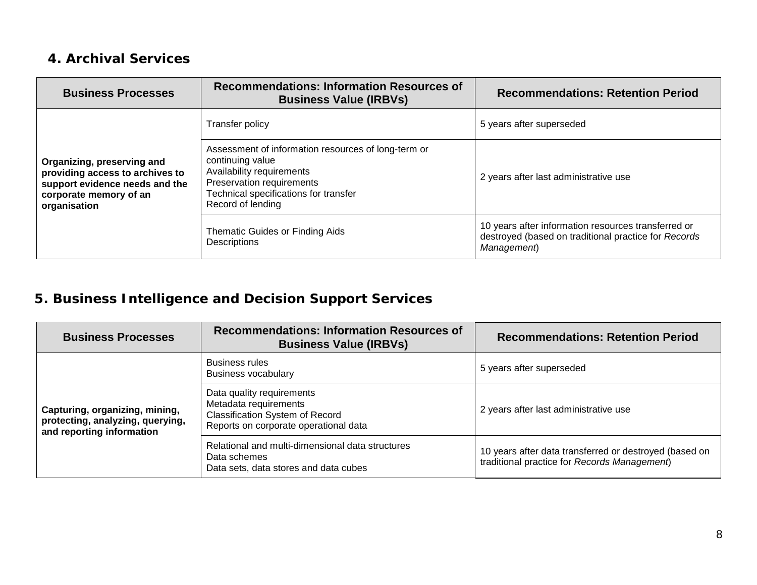### **4. Archival Services**

| <b>Business Processes</b>                                                                                                                 | <b>Recommendations: Information Resources of</b><br><b>Business Value (IRBVs)</b>                                                                                                               | <b>Recommendations: Retention Period</b>                                                                                   |
|-------------------------------------------------------------------------------------------------------------------------------------------|-------------------------------------------------------------------------------------------------------------------------------------------------------------------------------------------------|----------------------------------------------------------------------------------------------------------------------------|
| Organizing, preserving and<br>providing access to archives to<br>support evidence needs and the<br>corporate memory of an<br>organisation | Transfer policy                                                                                                                                                                                 | 5 years after superseded                                                                                                   |
|                                                                                                                                           | Assessment of information resources of long-term or<br>continuing value<br>Availability requirements<br>Preservation requirements<br>Technical specifications for transfer<br>Record of lending | 2 years after last administrative use                                                                                      |
|                                                                                                                                           | Thematic Guides or Finding Aids<br>Descriptions                                                                                                                                                 | 10 years after information resources transferred or<br>destroyed (based on traditional practice for Records<br>Management) |

# **5. Business Intelligence and Decision Support Services**

| <b>Business Processes</b>                                                                       | <b>Recommendations: Information Resources of</b><br><b>Business Value (IRBVs)</b>                                                     | <b>Recommendations: Retention Period</b>                                                               |
|-------------------------------------------------------------------------------------------------|---------------------------------------------------------------------------------------------------------------------------------------|--------------------------------------------------------------------------------------------------------|
| Capturing, organizing, mining,<br>protecting, analyzing, querying,<br>and reporting information | <b>Business rules</b><br><b>Business vocabulary</b>                                                                                   | 5 years after superseded                                                                               |
|                                                                                                 | Data quality requirements<br>Metadata requirements<br><b>Classification System of Record</b><br>Reports on corporate operational data | 2 years after last administrative use                                                                  |
|                                                                                                 | Relational and multi-dimensional data structures<br>Data schemes<br>Data sets, data stores and data cubes                             | 10 years after data transferred or destroyed (based on<br>traditional practice for Records Management) |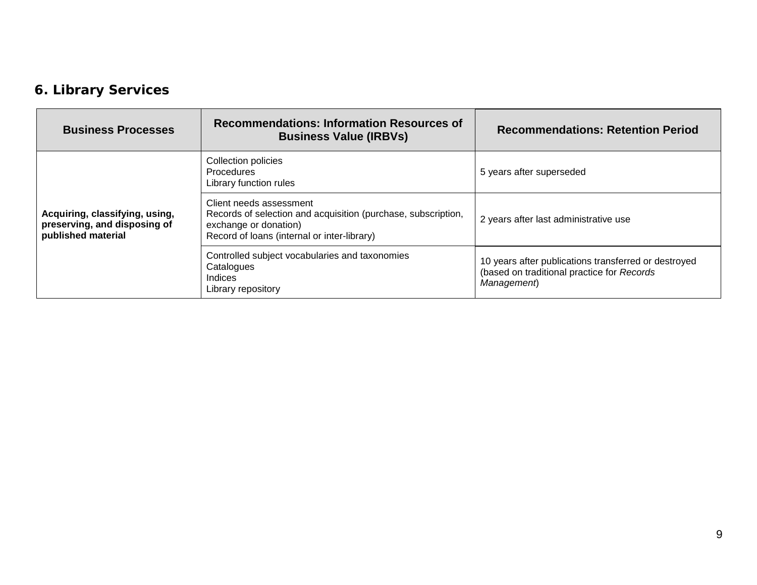# **6. Library Services**

| <b>Business Processes</b>                                                            | <b>Recommendations: Information Resources of</b><br><b>Business Value (IRBVs)</b>                                                                                | <b>Recommendations: Retention Period</b>                                                                          |
|--------------------------------------------------------------------------------------|------------------------------------------------------------------------------------------------------------------------------------------------------------------|-------------------------------------------------------------------------------------------------------------------|
| Acquiring, classifying, using,<br>preserving, and disposing of<br>published material | Collection policies<br><b>Procedures</b><br>Library function rules                                                                                               | 5 years after superseded                                                                                          |
|                                                                                      | Client needs assessment<br>Records of selection and acquisition (purchase, subscription,<br>exchange or donation)<br>Record of loans (internal or inter-library) | 2 years after last administrative use                                                                             |
|                                                                                      | Controlled subject vocabularies and taxonomies<br>Catalogues<br><b>Indices</b><br>Library repository                                                             | 10 years after publications transferred or destroyed<br>(based on traditional practice for Records<br>Management) |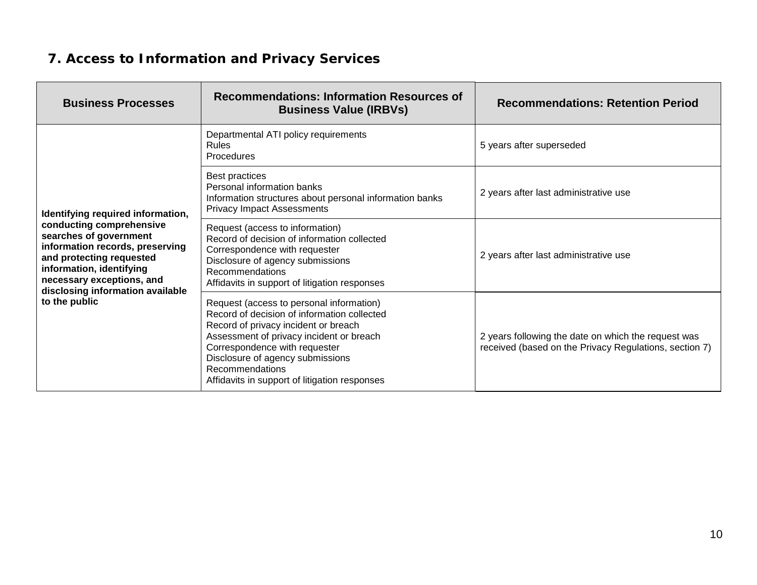# **7. Access to Information and Privacy Services**

| <b>Business Processes</b>                                                                                                                                                                                                                                            | <b>Recommendations: Information Resources of</b><br><b>Business Value (IRBVs)</b>                                                                                                                                                                                                                                    | <b>Recommendations: Retention Period</b>                                                                      |
|----------------------------------------------------------------------------------------------------------------------------------------------------------------------------------------------------------------------------------------------------------------------|----------------------------------------------------------------------------------------------------------------------------------------------------------------------------------------------------------------------------------------------------------------------------------------------------------------------|---------------------------------------------------------------------------------------------------------------|
| Identifying required information,<br>conducting comprehensive<br>searches of government<br>information records, preserving<br>and protecting requested<br>information, identifying<br>necessary exceptions, and<br>disclosing information available<br>to the public | Departmental ATI policy requirements<br><b>Rules</b><br>Procedures                                                                                                                                                                                                                                                   | 5 years after superseded                                                                                      |
|                                                                                                                                                                                                                                                                      | Best practices<br>Personal information banks<br>Information structures about personal information banks<br><b>Privacy Impact Assessments</b>                                                                                                                                                                         | 2 years after last administrative use                                                                         |
|                                                                                                                                                                                                                                                                      | Request (access to information)<br>Record of decision of information collected<br>Correspondence with requester<br>Disclosure of agency submissions<br>Recommendations<br>Affidavits in support of litigation responses                                                                                              | 2 years after last administrative use                                                                         |
|                                                                                                                                                                                                                                                                      | Request (access to personal information)<br>Record of decision of information collected<br>Record of privacy incident or breach<br>Assessment of privacy incident or breach<br>Correspondence with requester<br>Disclosure of agency submissions<br>Recommendations<br>Affidavits in support of litigation responses | 2 years following the date on which the request was<br>received (based on the Privacy Regulations, section 7) |